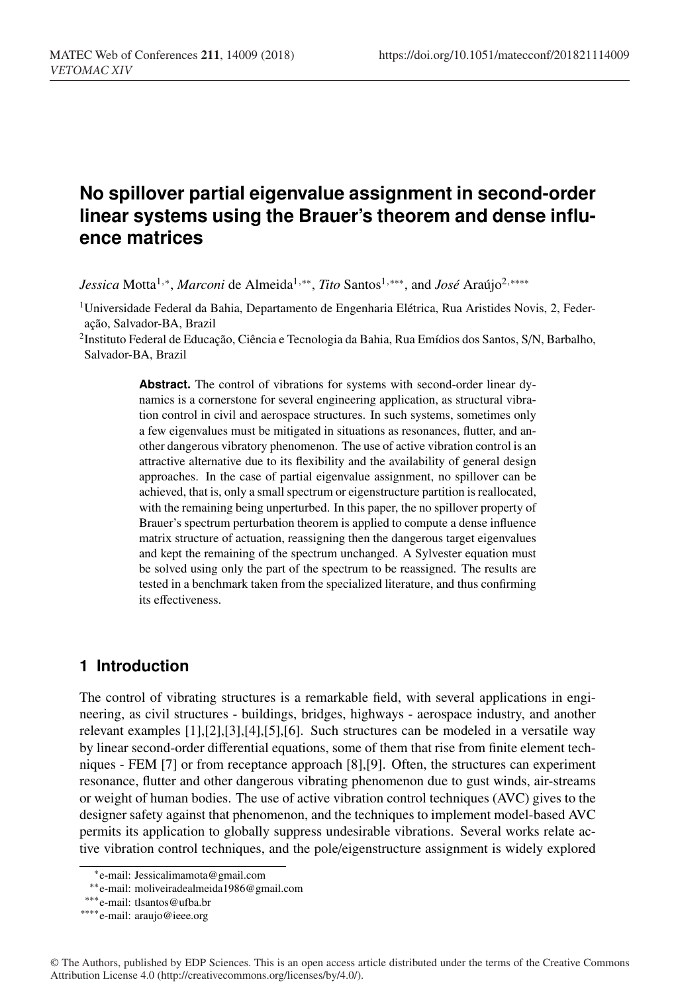# **No spillover partial eigenvalue assignment in second-order linear systems using the Brauer's theorem and dense influence matrices**

*Jessica* Motta<sup>1,∗</sup>, *Marconi* de Almeida<sup>1,∗∗</sup>, *Tito* Santos<sup>1,∗∗∗</sup>, and *José* Araújo<sup>2,</sup> \*\*\*\*

<sup>1</sup>Universidade Federal da Bahia, Departamento de Engenharia Elétrica, Rua Aristides Novis, 2, Federação, Salvador-BA, Brazil

2Instituto Federal de Educação, Ciência e Tecnologia da Bahia, Rua Emídios dos Santos, S/N, Barbalho, Salvador-BA, Brazil

> **Abstract.** The control of vibrations for systems with second-order linear dynamics is a cornerstone for several engineering application, as structural vibration control in civil and aerospace structures. In such systems, sometimes only a few eigenvalues must be mitigated in situations as resonances, flutter, and another dangerous vibratory phenomenon. The use of active vibration control is an attractive alternative due to its flexibility and the availability of general design approaches. In the case of partial eigenvalue assignment, no spillover can be achieved, that is, only a small spectrum or eigenstructure partition is reallocated, with the remaining being unperturbed. In this paper, the no spillover property of Brauer's spectrum perturbation theorem is applied to compute a dense influence matrix structure of actuation, reassigning then the dangerous target eigenvalues and kept the remaining of the spectrum unchanged. A Sylvester equation must be solved using only the part of the spectrum to be reassigned. The results are tested in a benchmark taken from the specialized literature, and thus confirming its effectiveness.

# **1 Introduction**

The control of vibrating structures is a remarkable field, with several applications in engineering, as civil structures - buildings, bridges, highways - aerospace industry, and another relevant examples [1],[2],[3],[4],[5],[6]. Such structures can be modeled in a versatile way by linear second-order differential equations, some of them that rise from finite element techniques - FEM [7] or from receptance approach [8],[9]. Often, the structures can experiment resonance, flutter and other dangerous vibrating phenomenon due to gust winds, air-streams or weight of human bodies. The use of active vibration control techniques (AVC) gives to the designer safety against that phenomenon, and the techniques to implement model-based AVC permits its application to globally suppress undesirable vibrations. Several works relate active vibration control techniques, and the pole/eigenstructure assignment is widely explored

<sup>∗</sup>e-mail: Jessicalimamota@gmail.com

<sup>∗∗</sup>e-mail: moliveiradealmeida1986@gmail.com

<sup>∗∗∗</sup>e-mail: tlsantos@ufba.br

<sup>∗∗∗∗</sup>e-mail: araujo@ieee.org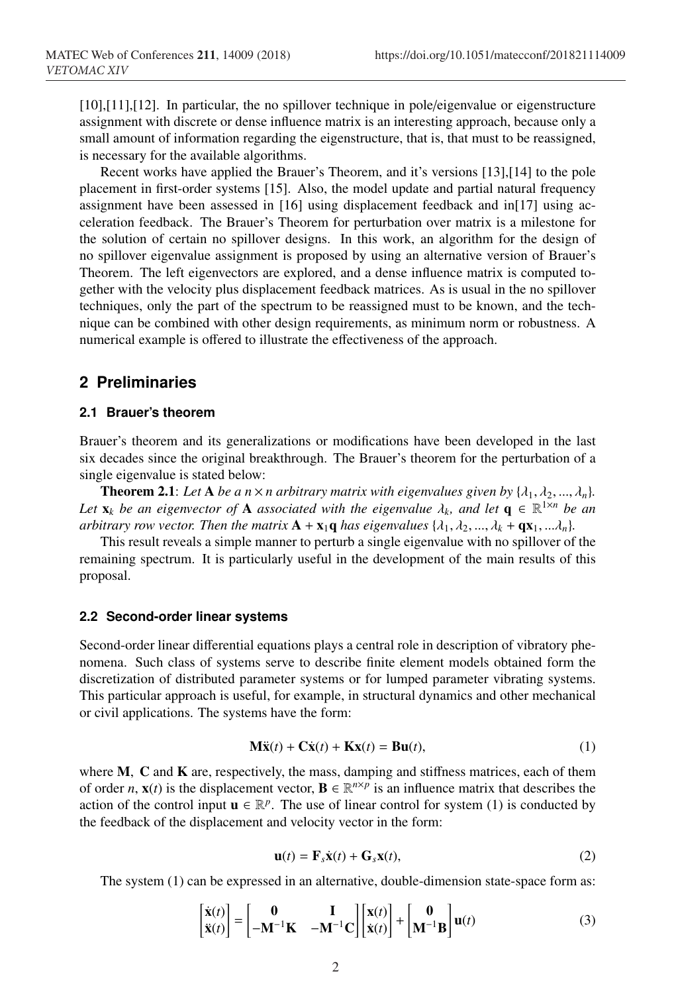[10],[11],[12]. In particular, the no spillover technique in pole/eigenvalue or eigenstructure assignment with discrete or dense influence matrix is an interesting approach, because only a small amount of information regarding the eigenstructure, that is, that must to be reassigned, is necessary for the available algorithms.

Recent works have applied the Brauer's Theorem, and it's versions [13],[14] to the pole placement in first-order systems [15]. Also, the model update and partial natural frequency assignment have been assessed in [16] using displacement feedback and in[17] using acceleration feedback. The Brauer's Theorem for perturbation over matrix is a milestone for the solution of certain no spillover designs. In this work, an algorithm for the design of no spillover eigenvalue assignment is proposed by using an alternative version of Brauer's Theorem. The left eigenvectors are explored, and a dense influence matrix is computed together with the velocity plus displacement feedback matrices. As is usual in the no spillover techniques, only the part of the spectrum to be reassigned must to be known, and the technique can be combined with other design requirements, as minimum norm or robustness. A numerical example is offered to illustrate the effectiveness of the approach.

### **2 Preliminaries**

### **2.1 Brauer's theorem**

Brauer's theorem and its generalizations or modifications have been developed in the last six decades since the original breakthrough. The Brauer's theorem for the perturbation of a single eigenvalue is stated below:

**Theorem 2.1**: Let **A** be a n  $\times$  *n* arbitrary matrix with eigenvalues given by { $\lambda_1, \lambda_2, ..., \lambda_n$ }. *Let*  $\mathbf{x}_k$  *be an eigenvector of* **A** *associated with the eigenvalue*  $\lambda_k$ , and let  $\mathbf{q} \in \mathbb{R}^{1 \times n}$  *be an arbitrary row vector. Then the matrix*  $\mathbf{A} + \mathbf{x}_1 \mathbf{q}$  *has eigenvalues*  $\{\lambda_1, \lambda_2, ..., \lambda_k + \mathbf{q} \mathbf{x}_1, ...\lambda_n\}$ .

This result reveals a simple manner to perturb a single eigenvalue with no spillover of the remaining spectrum. It is particularly useful in the development of the main results of this proposal.

#### **2.2 Second-order linear systems**

Second-order linear differential equations plays a central role in description of vibratory phenomena. Such class of systems serve to describe finite element models obtained form the discretization of distributed parameter systems or for lumped parameter vibrating systems. This particular approach is useful, for example, in structural dynamics and other mechanical or civil applications. The systems have the form:

$$
\mathbf{M}\ddot{\mathbf{x}}(t) + \mathbf{C}\dot{\mathbf{x}}(t) + \mathbf{K}\mathbf{x}(t) = \mathbf{B}\mathbf{u}(t),\tag{1}
$$

where  $M$ ,  $C$  and  $K$  are, respectively, the mass, damping and stiffness matrices, each of them of order *n*,  $\mathbf{x}(t)$  is the displacement vector,  $\mathbf{B} \in \mathbb{R}^{n \times p}$  is an influence matrix that describes the action of the control input  $\mathbf{u} \in \mathbb{R}^p$ . The use of linear control for system (1) is conducted by the feedback of the displacement and velocity vector in the form:

$$
\mathbf{u}(t) = \mathbf{F}_s \dot{\mathbf{x}}(t) + \mathbf{G}_s \mathbf{x}(t),
$$
 (2)

The system (1) can be expressed in an alternative, double-dimension state-space form as:

$$
\begin{bmatrix} \dot{\mathbf{x}}(t) \\ \ddot{\mathbf{x}}(t) \end{bmatrix} = \begin{bmatrix} \mathbf{0} & \mathbf{I} \\ -\mathbf{M}^{-1} \mathbf{K} & -\mathbf{M}^{-1} \mathbf{C} \end{bmatrix} \begin{bmatrix} \mathbf{x}(t) \\ \dot{\mathbf{x}}(t) \end{bmatrix} + \begin{bmatrix} \mathbf{0} \\ \mathbf{M}^{-1} \mathbf{B} \end{bmatrix} \mathbf{u}(t) \tag{3}
$$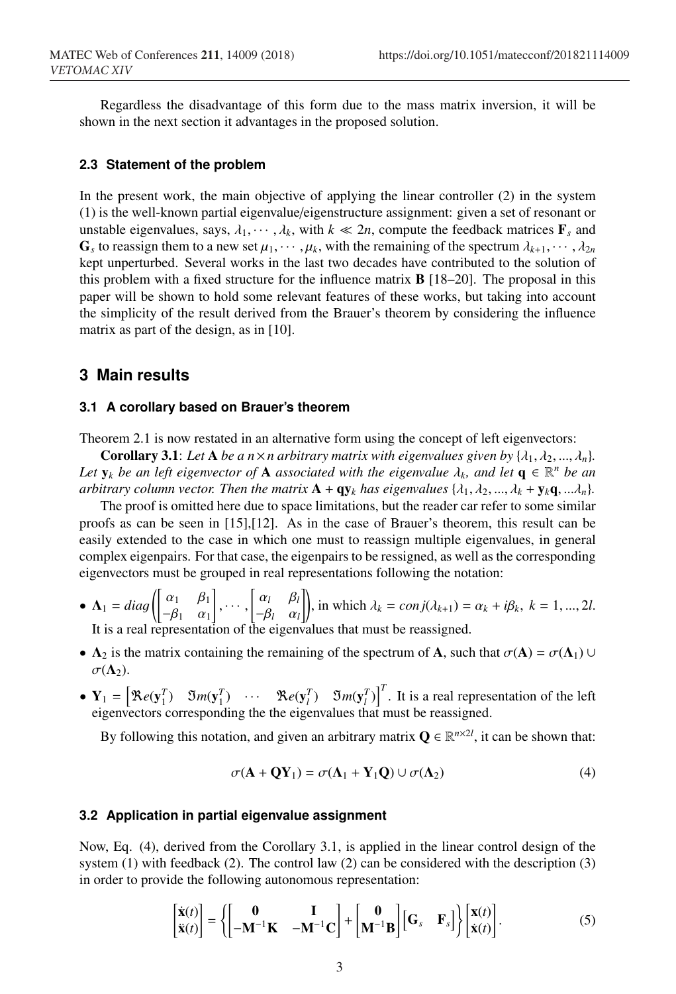Regardless the disadvantage of this form due to the mass matrix inversion, it will be shown in the next section it advantages in the proposed solution.

#### **2.3 Statement of the problem**

In the present work, the main objective of applying the linear controller (2) in the system (1) is the well-known partial eigenvalue/eigenstructure assignment: given a set of resonant or unstable eigenvalues, says,  $\lambda_1, \dots, \lambda_k$ , with  $k \ll 2n$ , compute the feedback matrices  $\mathbf{F}_s$  and  $\mathbf{G}_s$  to reassign them to a new set  $\mu_1, \dots, \mu_k$ , with the remaining of the spectrum  $\lambda_{k+1}, \dots, \lambda_{2n}$ kept unperturbed. Several works in the last two decades have contributed to the solution of this problem with a fixed structure for the influence matrix B [18–20]. The proposal in this paper will be shown to hold some relevant features of these works, but taking into account the simplicity of the result derived from the Brauer's theorem by considering the influence matrix as part of the design, as in [10].

### **3 Main results**

#### **3.1 A corollary based on Brauer's theorem**

Theorem 2.1 is now restated in an alternative form using the concept of left eigenvectors:

**Corollary 3.1**: Let **A** be a  $n \times n$  arbitrary matrix with eigenvalues given by  $\{\lambda_1, \lambda_2, ..., \lambda_n\}$ . *Let*  $y_k$  *be an left eigenvector of* **A** *associated with the eigenvalue*  $\lambda_k$ *, and let*  $q \in \mathbb{R}^n$  *be an arbitrary column vector. Then the matrix*  $\mathbf{A} + \mathbf{q} \mathbf{y}_k$  *has eigenvalues*  $\{\lambda_1, \lambda_2, ..., \lambda_k + \mathbf{y}_k \mathbf{q}, ...\lambda_n\}$ .

The proof is omitted here due to space limitations, but the reader car refer to some similar proofs as can be seen in [15],[12]. As in the case of Brauer's theorem, this result can be easily extended to the case in which one must to reassign multiple eigenvalues, in general complex eigenpairs. For that case, the eigenpairs to be ressigned, as well as the corresponding eigenvectors must be grouped in real representations following the notation:

- $\Lambda_1 = diag$  $\int \alpha_1 \beta_1$  $-\beta_1 \quad \alpha_1$ Ì  $, \cdots,$  $\begin{bmatrix} \alpha_l & \beta_l \end{bmatrix}$  $\begin{bmatrix} \alpha_l & \beta_l \\ -\beta_l & \alpha_l \end{bmatrix}$ , in which  $\lambda_k = conj(\lambda_{k+1}) = \alpha_k + i\beta_k$ ,  $k = 1, ..., 2l$ . It is a real representation of the eigenvalues that must be reassigned.
- $\Lambda_2$  is the matrix containing the remaining of the spectrum of A, such that  $\sigma(A) = \sigma(\Lambda_1) \cup$  $\sigma(\Lambda_2)$ .
- $Y_1 = \begin{bmatrix} \Re e(y_1^T) & \Im m(y_1^T) & \cdots & \Re e(y_i^T) & \Im m(y_i^T) \end{bmatrix}^T$ . It is a real representation of the left eigenvectors corresponding the the eigenvalues that must be reassigned.

By following this notation, and given an arbitrary matrix  $Q \in \mathbb{R}^{n \times 2l}$ , it can be shown that:

$$
\sigma(\mathbf{A} + \mathbf{Q}\mathbf{Y}_1) = \sigma(\mathbf{\Lambda}_1 + \mathbf{Y}_1\mathbf{Q}) \cup \sigma(\mathbf{\Lambda}_2)
$$
(4)

#### **3.2 Application in partial eigenvalue assignment**

Now, Eq. (4), derived from the Corollary 3.1, is applied in the linear control design of the system  $(1)$  with feedback  $(2)$ . The control law  $(2)$  can be considered with the description  $(3)$ in order to provide the following autonomous representation:

$$
\begin{bmatrix} \dot{\mathbf{x}}(t) \\ \ddot{\mathbf{x}}(t) \end{bmatrix} = \left\{ \begin{bmatrix} \mathbf{0} & \mathbf{I} \\ -\mathbf{M}^{-1} \mathbf{K} & -\mathbf{M}^{-1} \mathbf{C} \end{bmatrix} + \begin{bmatrix} \mathbf{0} \\ \mathbf{M}^{-1} \mathbf{B} \end{bmatrix} \begin{bmatrix} \mathbf{G}_s & \mathbf{F}_s \end{bmatrix} \right\} \begin{bmatrix} \mathbf{x}(t) \\ \dot{\mathbf{x}}(t) \end{bmatrix} . \tag{5}
$$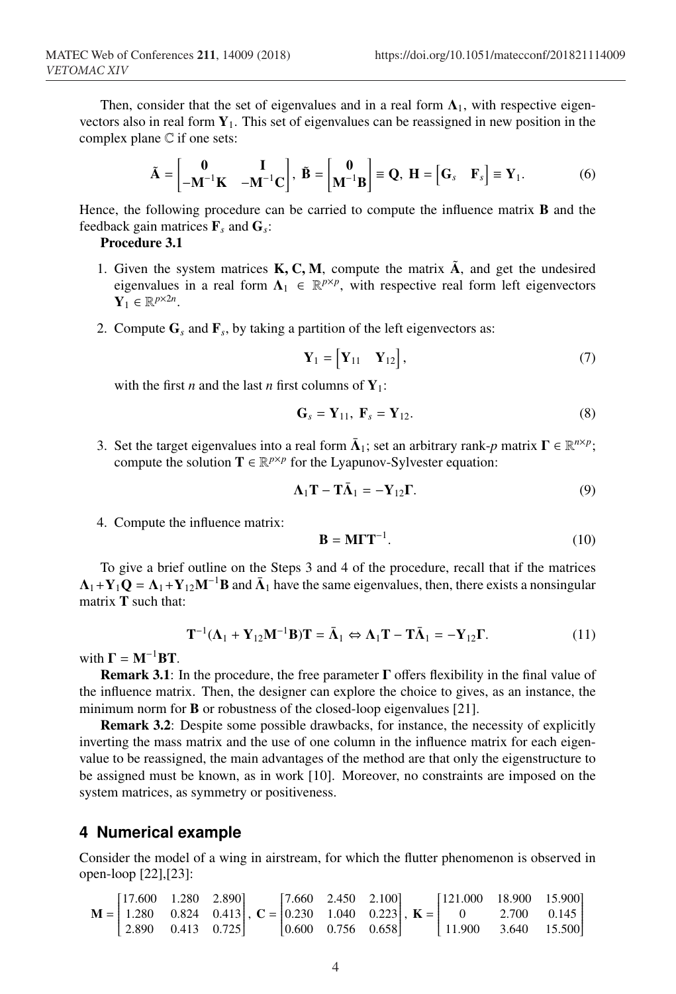Then, consider that the set of eigenvalues and in a real form  $\Lambda_1$ , with respective eigenvectors also in real form  $Y_1$ . This set of eigenvalues can be reassigned in new position in the complex plane C if one sets:

$$
\tilde{\mathbf{A}} = \begin{bmatrix} \mathbf{0} & \mathbf{I} \\ -\mathbf{M}^{-1}\mathbf{K} & -\mathbf{M}^{-1}\mathbf{C} \end{bmatrix}, \ \tilde{\mathbf{B}} = \begin{bmatrix} \mathbf{0} \\ \mathbf{M}^{-1}\mathbf{B} \end{bmatrix} \equiv \mathbf{Q}, \ \mathbf{H} = \begin{bmatrix} \mathbf{G}_s & \mathbf{F}_s \end{bmatrix} \equiv \mathbf{Y}_1. \tag{6}
$$

Hence, the following procedure can be carried to compute the influence matrix B and the feedback gain matrices  $\mathbf{F}_s$  and  $\mathbf{G}_s$ :

#### Procedure 3.1

- 1. Given the system matrices  $K, C, M$ , compute the matrix  $\tilde{A}$ , and get the undesired eigenvalues in a real form  $\Lambda_1 \in \mathbb{R}^{p \times p}$ , with respective real form left eigenvectors  $\mathbf{Y}_1 \in \mathbb{R}^{p \times 2n}$ .
- 2. Compute  $G<sub>s</sub>$  and  $F<sub>s</sub>$ , by taking a partition of the left eigenvectors as:

$$
\mathbf{Y}_1 = \begin{bmatrix} \mathbf{Y}_{11} & \mathbf{Y}_{12} \end{bmatrix},\tag{7}
$$

with the first *n* and the last *n* first columns of  $Y_1$ :

$$
\mathbf{G}_s = \mathbf{Y}_{11}, \ \mathbf{F}_s = \mathbf{Y}_{12}.\tag{8}
$$

3. Set the target eigenvalues into a real form  $\bar{\Lambda}_1$ ; set an arbitrary rank-*p* matrix  $\Gamma \in \mathbb{R}^{n \times p}$ ; compute the solution  $\mathbf{T} \in \mathbb{R}^{p \times p}$  for the Lyapunov-Sylvester equation:

$$
\Lambda_1 \mathbf{T} - \mathbf{T} \bar{\Lambda}_1 = -\mathbf{Y}_{12} \mathbf{\Gamma}.
$$
 (9)

4. Compute the influence matrix:

$$
\mathbf{B} = \mathbf{M}\mathbf{\Gamma}\mathbf{T}^{-1}.\tag{10}
$$

To give a brief outline on the Steps 3 and 4 of the procedure, recall that if the matrices  $\Lambda_1 + Y_1 Q = \Lambda_1 + Y_{12} M^{-1} B$  and  $\bar{\Lambda}_1$  have the same eigenvalues, then, there exists a nonsingular matrix T such that:

$$
\mathbf{T}^{-1}(\mathbf{\Lambda}_1 + \mathbf{Y}_{12}\mathbf{M}^{-1}\mathbf{B})\mathbf{T} = \bar{\mathbf{\Lambda}}_1 \Leftrightarrow \mathbf{\Lambda}_1\mathbf{T} - \mathbf{T}\bar{\mathbf{\Lambda}}_1 = -\mathbf{Y}_{12}\mathbf{\Gamma}.
$$
 (11)

with  $\Gamma = M^{-1}BT$ .

**Remark 3.1**: In the procedure, the free parameter  $\Gamma$  offers flexibility in the final value of the influence matrix. Then, the designer can explore the choice to gives, as an instance, the minimum norm for **B** or robustness of the closed-loop eigenvalues [21].

Remark 3.2: Despite some possible drawbacks, for instance, the necessity of explicitly inverting the mass matrix and the use of one column in the influence matrix for each eigenvalue to be reassigned, the main advantages of the method are that only the eigenstructure to be assigned must be known, as in work [10]. Moreover, no constraints are imposed on the system matrices, as symmetry or positiveness.

# **4 Numerical example**

Consider the model of a wing in airstream, for which the flutter phenomenon is observed in open-loop [22],[23]:

$$
\mathbf{M} = \begin{bmatrix} 17.600 & 1.280 & 2.890 \\ 1.280 & 0.824 & 0.413 \\ 2.890 & 0.413 & 0.725 \end{bmatrix}, \ \mathbf{C} = \begin{bmatrix} 7.660 & 2.450 & 2.100 \\ 0.230 & 1.040 & 0.223 \\ 0.600 & 0.756 & 0.658 \end{bmatrix}, \ \mathbf{K} = \begin{bmatrix} 121.000 & 18.900 & 15.900 \\ 0 & 2.700 & 0.145 \\ 11.900 & 3.640 & 15.500 \end{bmatrix}
$$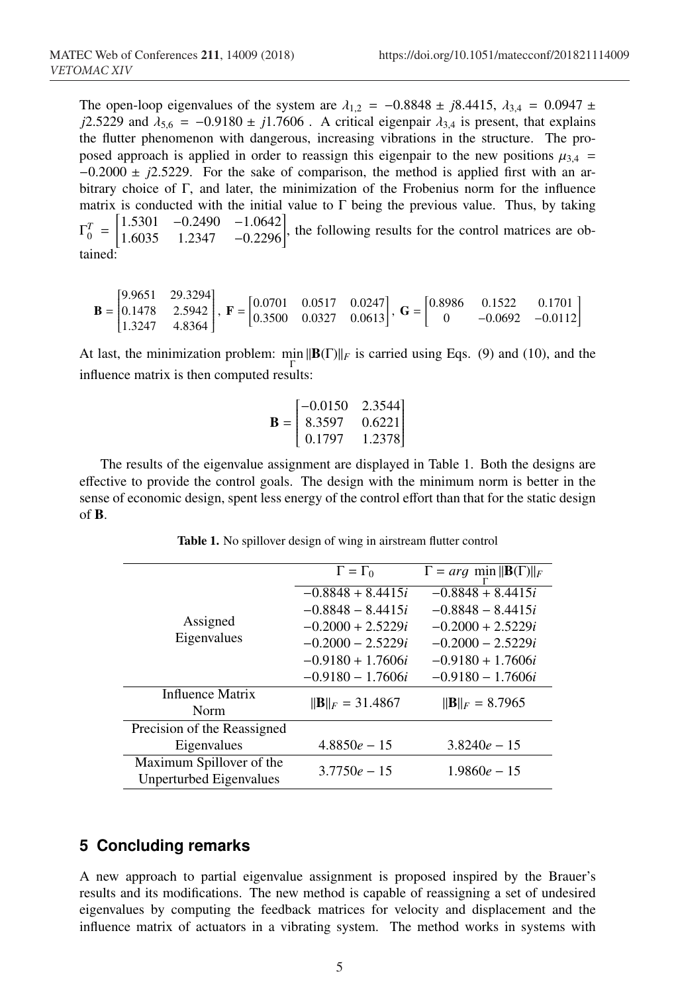The open-loop eigenvalues of the system are  $\lambda_{1,2} = -0.8848 \pm j8.4415$ ,  $\lambda_{3,4} = 0.0947 \pm j.00947$ *j*2.5229 and  $\lambda_{5,6} = -0.9180 \pm j1.7606$ . A critical eigenpair  $\lambda_{3,4}$  is present, that explains the flutter phenomenon with dangerous, increasing vibrations in the structure. The proposed approach is applied in order to reassign this eigenpair to the new positions  $\mu_{3,4}$  = −0.2000 ± *j*2.5229. For the sake of comparison, the method is applied first with an arbitrary choice of Γ, and later, the minimization of the Frobenius norm for the influence matrix is conducted with the initial value to  $\Gamma$  being the previous value. Thus, by taking  $\Gamma_0^T$  = 1.5301 −0.2490 −1.0642 <sup>1</sup>.6035 1.<sup>2347</sup> <sup>−</sup>0.<sup>2296</sup> , the following results for the control matrices are obtained:

$$
\mathbf{B} = \begin{bmatrix} 9.9651 & 29.3294 \\ 0.1478 & 2.5942 \\ 1.3247 & 4.8364 \end{bmatrix}, \ \mathbf{F} = \begin{bmatrix} 0.0701 & 0.0517 & 0.0247 \\ 0.3500 & 0.0327 & 0.0613 \end{bmatrix}, \ \mathbf{G} = \begin{bmatrix} 0.8986 & 0.1522 & 0.1701 \\ 0 & -0.0692 & -0.0112 \end{bmatrix}
$$

At last, the minimization problem:  $\min_{\Gamma} ||B(\Gamma)||_F$  is carried using Eqs. (9) and (10), and the influence matrix is then computed results:

$$
\mathbf{B} = \begin{bmatrix} -0.0150 & 2.3544 \\ 8.3597 & 0.6221 \\ 0.1797 & 1.2378 \end{bmatrix}
$$

The results of the eigenvalue assignment are displayed in Table 1. Both the designs are effective to provide the control goals. The design with the minimum norm is better in the sense of economic design, spent less energy of the control effort than that for the static design of B.

| Assigned<br>Eigenvalues     | $\Gamma = \Gamma_0$       | $\Gamma = arg \min   \mathbf{B}(\Gamma)  _F$ |
|-----------------------------|---------------------------|----------------------------------------------|
|                             | $-0.8848 + 8.4415i$       | $-0.8848 + 8.4415i$                          |
|                             | $-0.8848 - 8.4415i$       | $-0.8848 - 8.4415i$                          |
|                             | $-0.2000 + 2.5229i$       | $-0.2000 + 2.5229i$                          |
|                             | $-0.2000 - 2.5229i$       | $-0.2000 - 2.5229i$                          |
|                             | $-0.9180 + 1.7606i$       | $-0.9180 + 1.7606i$                          |
|                             | $-0.9180 - 1.7606i$       | $-0.9180 - 1.7606i$                          |
| Influence Matrix            | $  {\bf B}  _F = 31.4867$ | $\ \mathbf{B}\ _F = 8.7965$                  |
| Norm                        |                           |                                              |
| Precision of the Reassigned |                           |                                              |
| Eigenvalues                 | $4.8850e - 15$            | $3.8240e - 15$                               |
| Maximum Spillover of the    | $3.7750e - 15$            | $1.9860e - 15$                               |
| Unperturbed Eigenvalues     |                           |                                              |

Table 1. No spillover design of wing in airstream flutter control

## **5 Concluding remarks**

A new approach to partial eigenvalue assignment is proposed inspired by the Brauer's results and its modifications. The new method is capable of reassigning a set of undesired eigenvalues by computing the feedback matrices for velocity and displacement and the influence matrix of actuators in a vibrating system. The method works in systems with